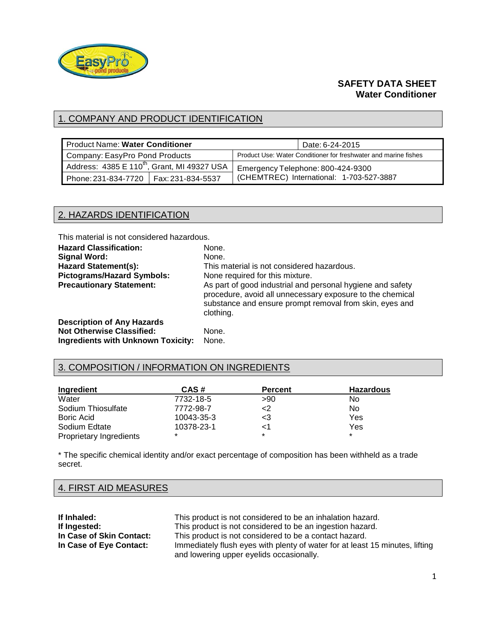

### **SAFETY DATA SHEET Water Conditioner**

# 1. COMPANY AND PRODUCT IDENTIFICATION

| <b>Product Name: Water Conditioner</b>                  | Date: 6-24-2015                                                 |
|---------------------------------------------------------|-----------------------------------------------------------------|
| Company: EasyPro Pond Products                          | Product Use: Water Conditioner for freshwater and marine fishes |
| Address: 4385 E 110 <sup>th</sup> , Grant, MI 49327 USA | Emergency Telephone: 800-424-9300                               |
| Phone: 231-834-7720   Fax: 231-834-5537                 | (CHEMTREC) International: 1-703-527-3887                        |

#### 2. HAZARDS IDENTIFICATION

This material is not considered hazardous.

| <b>Hazard Classification:</b>             | None.                                                                                                                                                                                           |
|-------------------------------------------|-------------------------------------------------------------------------------------------------------------------------------------------------------------------------------------------------|
| <b>Signal Word:</b>                       | None.                                                                                                                                                                                           |
| <b>Hazard Statement(s):</b>               | This material is not considered hazardous.                                                                                                                                                      |
| <b>Pictograms/Hazard Symbols:</b>         | None required for this mixture.                                                                                                                                                                 |
| <b>Precautionary Statement:</b>           | As part of good industrial and personal hygiene and safety<br>procedure, avoid all unnecessary exposure to the chemical<br>substance and ensure prompt removal from skin, eyes and<br>clothing. |
| <b>Description of Any Hazards</b>         |                                                                                                                                                                                                 |
| <b>Not Otherwise Classified:</b>          | None.                                                                                                                                                                                           |
| <b>Ingredients with Unknown Toxicity:</b> | None.                                                                                                                                                                                           |

#### 3. COMPOSITION / INFORMATION ON INGREDIENTS

| Ingredient              | CAS#       | <b>Percent</b> | <b>Hazardous</b> |
|-------------------------|------------|----------------|------------------|
| Water                   | 7732-18-5  | >90            | No               |
| Sodium Thiosulfate      | 7772-98-7  | <2             | No               |
| Boric Acid              | 10043-35-3 | <3             | Yes              |
| Sodium Edtate           | 10378-23-1 | <1             | Yes              |
| Proprietary Ingredients | $\star$    | $\star$        | $\star$          |

\* The specific chemical identity and/or exact percentage of composition has been withheld as a trade secret.

# 4. FIRST AID MEASURES

| If Inhaled:              | This product is not considered to be an inhalation hazard.                   |
|--------------------------|------------------------------------------------------------------------------|
| If Ingested:             | This product is not considered to be an ingestion hazard.                    |
| In Case of Skin Contact: | This product is not considered to be a contact hazard.                       |
| In Case of Eye Contact:  | Immediately flush eyes with plenty of water for at least 15 minutes, lifting |
|                          | and lowering upper eyelids occasionally.                                     |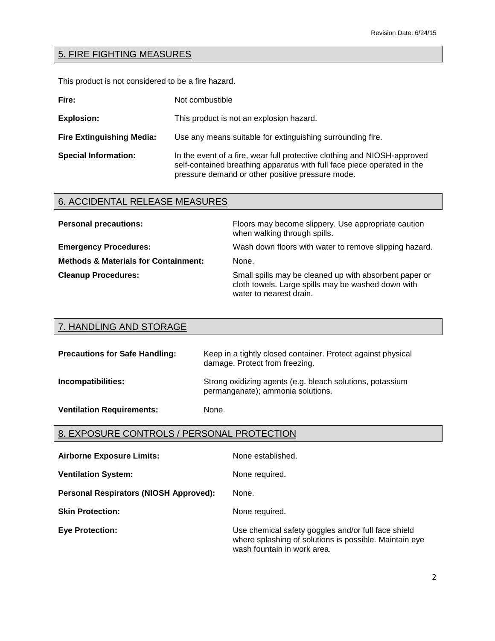# 5. FIRE FIGHTING MEASURES

This product is not considered to be a fire hazard.

| Fire:                            | Not combustible                                                                                                                                                                                         |
|----------------------------------|---------------------------------------------------------------------------------------------------------------------------------------------------------------------------------------------------------|
| <b>Explosion:</b>                | This product is not an explosion hazard.                                                                                                                                                                |
| <b>Fire Extinguishing Media:</b> | Use any means suitable for extinguishing surrounding fire.                                                                                                                                              |
| <b>Special Information:</b>      | In the event of a fire, wear full protective clothing and NIOSH-approved<br>self-contained breathing apparatus with full face piece operated in the<br>pressure demand or other positive pressure mode. |

# 6. ACCIDENTAL RELEASE MEASURES

| <b>Personal precautions:</b>                    | Floors may become slippery. Use appropriate caution<br>when walking through spills.                                                     |
|-------------------------------------------------|-----------------------------------------------------------------------------------------------------------------------------------------|
| <b>Emergency Procedures:</b>                    | Wash down floors with water to remove slipping hazard.                                                                                  |
| <b>Methods &amp; Materials for Containment:</b> | None.                                                                                                                                   |
| <b>Cleanup Procedures:</b>                      | Small spills may be cleaned up with absorbent paper or<br>cloth towels. Large spills may be washed down with<br>water to nearest drain. |

| 7. HANDLING AND STORAGE               |                                                                                                |
|---------------------------------------|------------------------------------------------------------------------------------------------|
| <b>Precautions for Safe Handling:</b> | Keep in a tightly closed container. Protect against physical<br>damage. Protect from freezing. |
| Incompatibilities:                    | Strong oxidizing agents (e.g. bleach solutions, potassium<br>permanganate); ammonia solutions. |
| <b>Ventilation Requirements:</b>      | None.                                                                                          |

#### 8. EXPOSURE CONTROLS / PERSONAL PROTECTION

| <b>Airborne Exposure Limits:</b>              | None established.                                                                                                                            |
|-----------------------------------------------|----------------------------------------------------------------------------------------------------------------------------------------------|
| <b>Ventilation System:</b>                    | None required.                                                                                                                               |
| <b>Personal Respirators (NIOSH Approved):</b> | None.                                                                                                                                        |
| <b>Skin Protection:</b>                       | None required.                                                                                                                               |
| <b>Eye Protection:</b>                        | Use chemical safety goggles and/or full face shield<br>where splashing of solutions is possible. Maintain eye<br>wash fountain in work area. |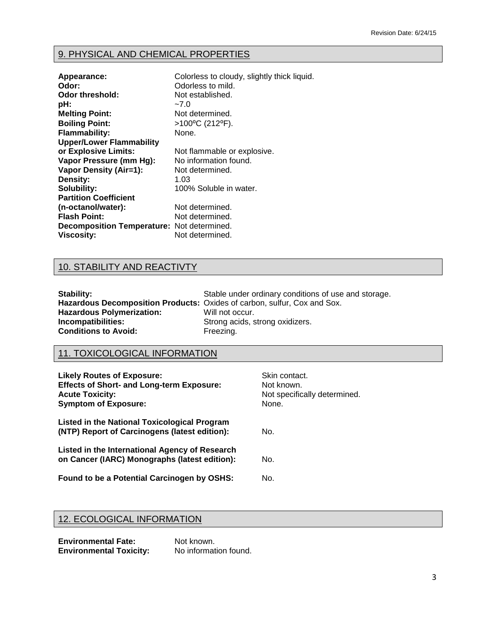# 9. PHYSICAL AND CHEMICAL PROPERTIES

| Appearance:<br>Odor:<br>Odor threshold:<br>pH:<br><b>Melting Point:</b><br><b>Boiling Point:</b> | Colorless to cloudy, slightly thick liquid.<br>Odorless to mild.<br>Not established.<br>$-7.0$<br>Not determined.<br>>100°C (212°F). |
|--------------------------------------------------------------------------------------------------|--------------------------------------------------------------------------------------------------------------------------------------|
| <b>Flammability:</b>                                                                             | None.                                                                                                                                |
| <b>Upper/Lower Flammability</b>                                                                  |                                                                                                                                      |
| or Explosive Limits:                                                                             | Not flammable or explosive.                                                                                                          |
| Vapor Pressure (mm Hg):                                                                          | No information found.                                                                                                                |
| <b>Vapor Density (Air=1):</b>                                                                    | Not determined.                                                                                                                      |
| Density:                                                                                         | 1.03                                                                                                                                 |
| Solubility:                                                                                      | 100% Soluble in water.                                                                                                               |
| <b>Partition Coefficient</b>                                                                     |                                                                                                                                      |
| (n-octanol/water):                                                                               | Not determined.                                                                                                                      |
| <b>Flash Point:</b>                                                                              | Not determined.                                                                                                                      |
| Decomposition Temperature: Not determined.                                                       |                                                                                                                                      |
| <b>Viscosity:</b>                                                                                | Not determined.                                                                                                                      |

# 10. STABILITY AND REACTIVTY

| Stability:                                                                      | Stable under ordinary conditions of use and storage. |
|---------------------------------------------------------------------------------|------------------------------------------------------|
| <b>Hazardous Decomposition Products:</b> Oxides of carbon, sulfur, Cox and Sox. |                                                      |
| <b>Hazardous Polymerization:</b>                                                | Will not occur.                                      |
| Incompatibilities:                                                              | Strong acids, strong oxidizers.                      |
| <b>Conditions to Avoid:</b>                                                     | Freezing.                                            |

# 11. TOXICOLOGICAL INFORMATION

| <b>Likely Routes of Exposure:</b><br><b>Effects of Short- and Long-term Exposure:</b><br><b>Acute Toxicity:</b><br><b>Symptom of Exposure:</b> | Skin contact.<br>Not known.<br>Not specifically determined.<br>None. |
|------------------------------------------------------------------------------------------------------------------------------------------------|----------------------------------------------------------------------|
| <b>Listed in the National Toxicological Program</b><br>(NTP) Report of Carcinogens (latest edition):                                           | No.                                                                  |
| Listed in the International Agency of Research<br>on Cancer (IARC) Monographs (latest edition):                                                | No.                                                                  |
| Found to be a Potential Carcinogen by OSHS:                                                                                                    | No.                                                                  |

# 12. ECOLOGICAL INFORMATION

| <b>Environmental Fate:</b>     | Not known.            |
|--------------------------------|-----------------------|
| <b>Environmental Toxicity:</b> | No information found. |